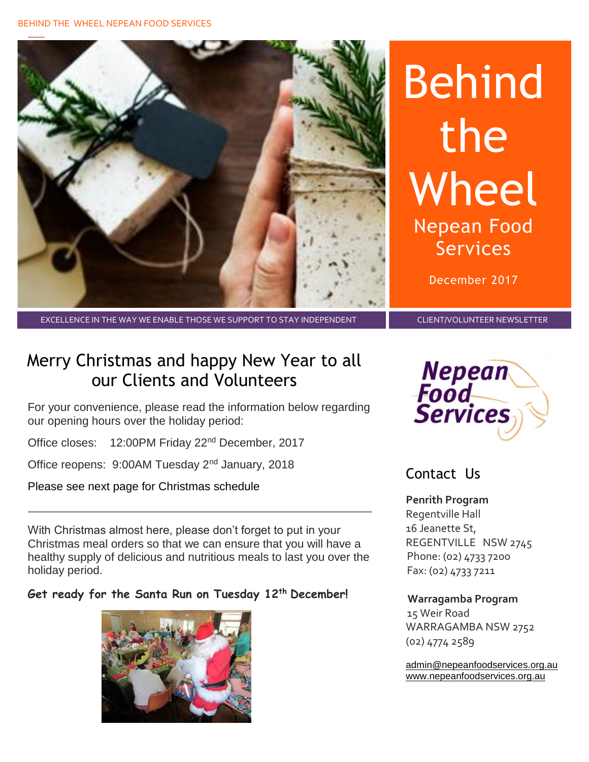

# Behind the Wheel Nepean Food Services

December 2017

#### EXCELLENCE IN THE WAY WE ENABLE THOSE WE SUPPORT TO STAY INDEPENDENT CLIENT/VOLUNTEER NEWSLETTER

## Merry Christmas and happy New Year to all our Clients and Volunteers

For your convenience, please read the information below regarding our opening hours over the holiday period:

Office closes: 12:00PM Friday 22nd December, 2017

Office reopens: 9:00AM Tuesday 2nd January, 2018

Please see next page for Christmas schedule

With Christmas almost here, please don't forget to put in your Christmas meal orders so that we can ensure that you will have a healthy supply of delicious and nutritious meals to last you over the holiday period.

## **Get ready for the Santa Run on Tuesday 12th December!**





## Contact Us

**Penrith Program**  Regentville Hall 16 Jeanette St, REGENTVILLE NSW 2745 Phone: (02) 4733 7200 Fax: (02) 4733 7211

### **Warragamba Program**

 15 Weir Road WARRAGAMBA NSW 2752 (02) 4774 2589

[admin@nepeanfoodservices.org.au](mailto:admin@nepeanfoodservices.org.au) [www.nepeanfoodservices.org.au](http://www.nepeanfoodservices.org.au/)